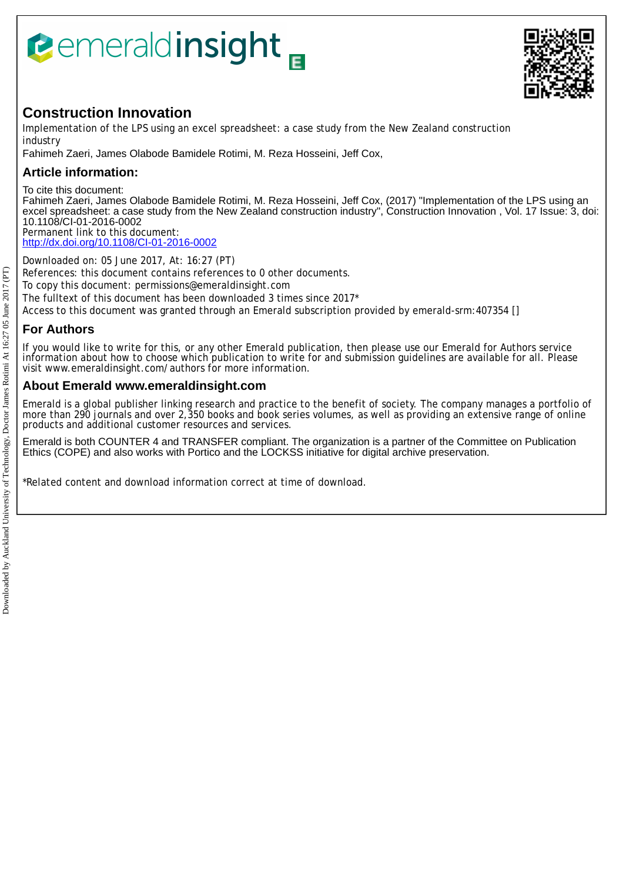# **Pemeraldinsight**



# **Construction Innovation**

Implementation of the LPS using an excel spreadsheet: a case study from the New Zealand construction industry

Fahimeh Zaeri, James Olabode Bamidele Rotimi, M. Reza Hosseini, Jeff Cox,

# **Article information:**

To cite this document:

Fahimeh Zaeri, James Olabode Bamidele Rotimi, M. Reza Hosseini, Jeff Cox, (2017) "Implementation of the LPS using an excel spreadsheet: a case study from the New Zealand construction industry", Construction Innovation , Vol. 17 Issue: 3, doi: 10.1108/CI-01-2016-0002 Permanent link to this document:

<http://dx.doi.org/10.1108/CI-01-2016-0002>

Downloaded on: 05 June 2017, At: 16:27 (PT) References: this document contains references to 0 other documents. To copy this document: permissions@emeraldinsight.com The fulltext of this document has been downloaded 3 times since 2017\* Access to this document was granted through an Emerald subscription provided by emerald-srm:407354 []

# **For Authors**

If you would like to write for this, or any other Emerald publication, then please use our Emerald for Authors service information about how to choose which publication to write for and submission guidelines are available for all. Please visit www.emeraldinsight.com/authors for more information.

# **About Emerald www.emeraldinsight.com**

Emerald is a global publisher linking research and practice to the benefit of society. The company manages a portfolio of more than 290 journals and over 2,350 books and book series volumes, as well as providing an extensive range of online products and additional customer resources and services.

Emerald is both COUNTER 4 and TRANSFER compliant. The organization is a partner of the Committee on Publication Ethics (COPE) and also works with Portico and the LOCKSS initiative for digital archive preservation.

\*Related content and download information correct at time of download.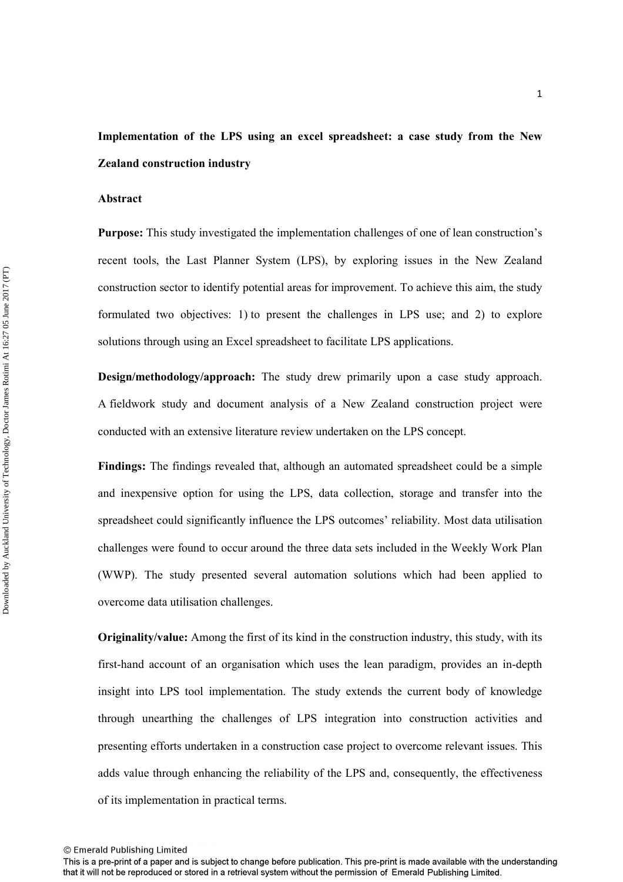**Implementation of the LPS using an excel spreadsheet: a case study from the New Zealand construction industry** 

# **Abstract**

**Purpose:** This study investigated the implementation challenges of one of lean construction's recent tools, the Last Planner System (LPS), by exploring issues in the New Zealand construction sector to identify potential areas for improvement. To achieve this aim, the study formulated two objectives: 1) to present the challenges in LPS use; and 2) to explore solutions through using an Excel spreadsheet to facilitate LPS applications.

**Design/methodology/approach:** The study drew primarily upon a case study approach. A fieldwork study and document analysis of a New Zealand construction project were conducted with an extensive literature review undertaken on the LPS concept.

**Findings:** The findings revealed that, although an automated spreadsheet could be a simple and inexpensive option for using the LPS, data collection, storage and transfer into the spreadsheet could significantly influence the LPS outcomes' reliability. Most data utilisation challenges were found to occur around the three data sets included in the Weekly Work Plan (WWP). The study presented several automation solutions which had been applied to overcome data utilisation challenges.

**Originality/value:** Among the first of its kind in the construction industry, this study, with its first-hand account of an organisation which uses the lean paradigm, provides an in-depth insight into LPS tool implementation. The study extends the current body of knowledge through unearthing the challenges of LPS integration into construction activities and presenting efforts undertaken in a construction case project to overcome relevant issues. This adds value through enhancing the reliability of the LPS and, consequently, the effectiveness of its implementation in practical terms.

<sup>©</sup> Emerald Publishing Limited

This is a pre-print of a paper and is subject to change before publication. This pre-print is made available with the understanding that it will not be reproduced or stored in a retrieval system without the permission of Emerald Publishing Limited.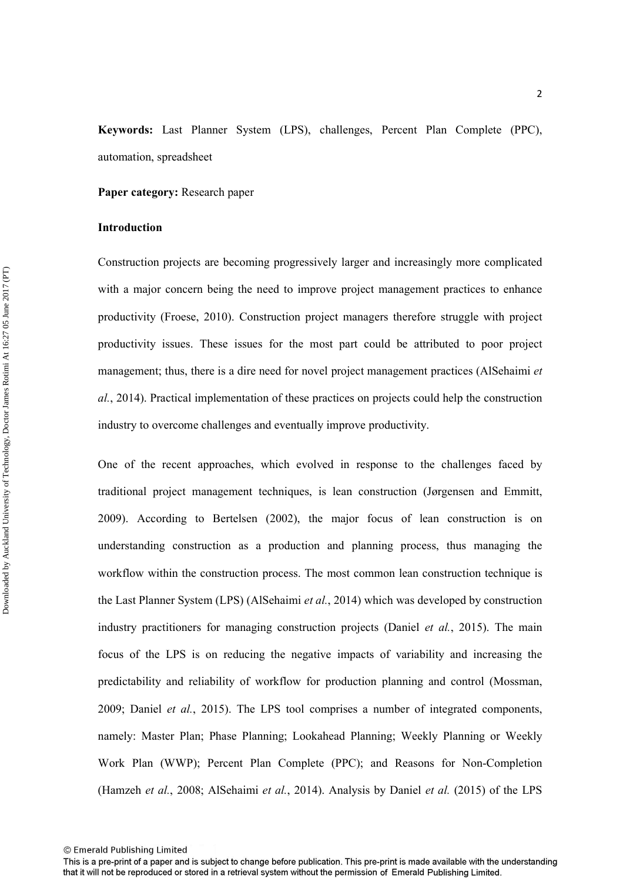**Keywords:** Last Planner System (LPS), challenges, Percent Plan Complete (PPC), automation, spreadsheet

# **Paper category:** Research paper

# **Introduction**

Construction projects are becoming progressively larger and increasingly more complicated with a major concern being the need to improve project management practices to enhance productivity (Froese, 2010). Construction project managers therefore struggle with project productivity issues. These issues for the most part could be attributed to poor project management; thus, there is a dire need for novel project management practices (AlSehaimi *et al.*, 2014). Practical implementation of these practices on projects could help the construction industry to overcome challenges and eventually improve productivity.

One of the recent approaches, which evolved in response to the challenges faced by traditional project management techniques, is lean construction (Jørgensen and Emmitt, 2009). According to Bertelsen (2002), the major focus of lean construction is on understanding construction as a production and planning process, thus managing the workflow within the construction process. The most common lean construction technique is the Last Planner System (LPS) (AlSehaimi *et al.*, 2014) which was developed by construction industry practitioners for managing construction projects (Daniel *et al.*, 2015). The main focus of the LPS is on reducing the negative impacts of variability and increasing the predictability and reliability of workflow for production planning and control (Mossman, 2009; Daniel *et al.*, 2015). The LPS tool comprises a number of integrated components, namely: Master Plan; Phase Planning; Lookahead Planning; Weekly Planning or Weekly Work Plan (WWP); Percent Plan Complete (PPC); and Reasons for Non-Completion (Hamzeh *et al.*, 2008; AlSehaimi *et al.*, 2014). Analysis by Daniel *et al.* (2015) of the LPS

<sup>©</sup> Emerald Publishing Limited

This is a pre-print of a paper and is subject to change before publication. This pre-print is made available with the understanding that it will not be reproduced or stored in a retrieval system without the permission of Emerald Publishing Limited.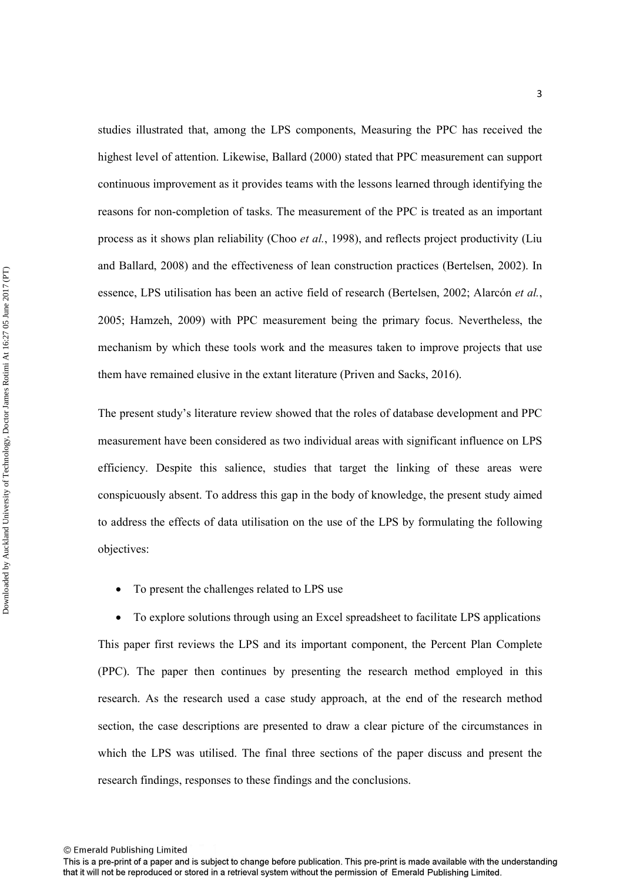studies illustrated that, among the LPS components, Measuring the PPC has received the highest level of attention. Likewise, Ballard (2000) stated that PPC measurement can support continuous improvement as it provides teams with the lessons learned through identifying the reasons for non-completion of tasks. The measurement of the PPC is treated as an important process as it shows plan reliability (Choo *et al.*, 1998), and reflects project productivity (Liu and Ballard, 2008) and the effectiveness of lean construction practices (Bertelsen, 2002). In essence, LPS utilisation has been an active field of research (Bertelsen, 2002; Alarcón *et al.*, 2005; Hamzeh, 2009) with PPC measurement being the primary focus. Nevertheless, the mechanism by which these tools work and the measures taken to improve projects that use them have remained elusive in the extant literature (Priven and Sacks, 2016).

The present study's literature review showed that the roles of database development and PPC measurement have been considered as two individual areas with significant influence on LPS efficiency. Despite this salience, studies that target the linking of these areas were conspicuously absent. To address this gap in the body of knowledge, the present study aimed to address the effects of data utilisation on the use of the LPS by formulating the following objectives:

• To present the challenges related to LPS use

• To explore solutions through using an Excel spreadsheet to facilitate LPS applications This paper first reviews the LPS and its important component, the Percent Plan Complete (PPC). The paper then continues by presenting the research method employed in this research. As the research used a case study approach, at the end of the research method section, the case descriptions are presented to draw a clear picture of the circumstances in which the LPS was utilised. The final three sections of the paper discuss and present the research findings, responses to these findings and the conclusions.

This is a pre-print of a paper and is subject to change before publication. This pre-print is made available with the understanding that it will not be reproduced or stored in a retrieval system without the permission of Emerald Publishing Limited.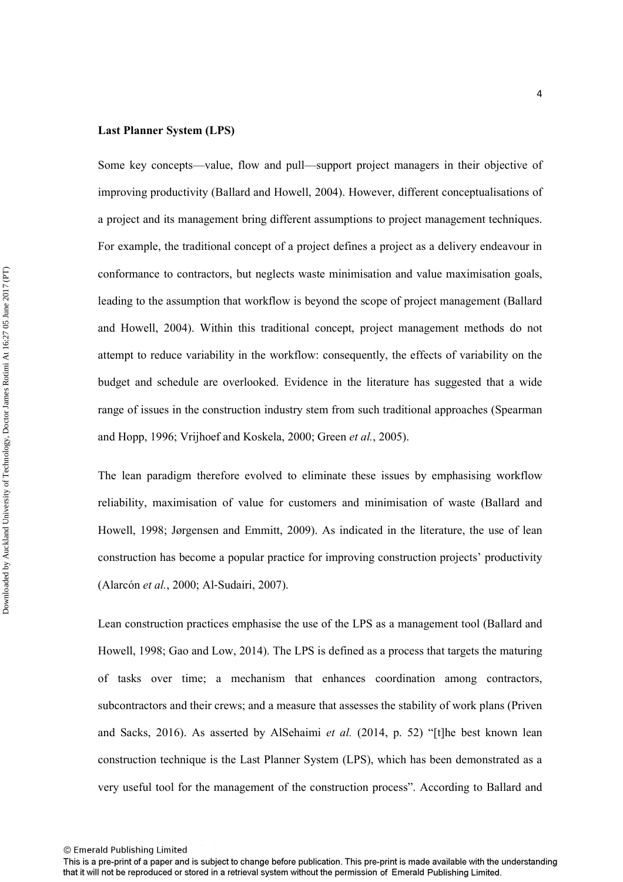#### **Last Planner System (LPS)**

Some key concepts—value, flow and pull—support project managers in their objective of improving productivity (Ballard and Howell, 2004). However, different conceptualisations of a project and its management bring different assumptions to project management techniques. For example, the traditional concept of a project defines a project as a delivery endeavour in conformance to contractors, but neglects waste minimisation and value maximisation goals, leading to the assumption that workflow is beyond the scope of project management (Ballard and Howell, 2004). Within this traditional concept, project management methods do not attempt to reduce variability in the workflow: consequently, the effects of variability on the budget and schedule are overlooked. Evidence in the literature has suggested that a wide range of issues in the construction industry stem from such traditional approaches (Spearman and Hopp, 1996; Vrijhoef and Koskela, 2000; Green *et al.*, 2005).

The lean paradigm therefore evolved to eliminate these issues by emphasising workflow reliability, maximisation of value for customers and minimisation of waste (Ballard and Howell, 1998; Jørgensen and Emmitt, 2009). As indicated in the literature, the use of lean construction has become a popular practice for improving construction projects' productivity (Alarcón *et al.*, 2000; Al‐Sudairi, 2007).

Lean construction practices emphasise the use of the LPS as a management tool (Ballard and Howell, 1998; Gao and Low, 2014). The LPS is defined as a process that targets the maturing of tasks over time; a mechanism that enhances coordination among contractors, subcontractors and their crews; and a measure that assesses the stability of work plans (Priven and Sacks, 2016). As asserted by AlSehaimi *et al.* (2014, p. 52) "[t]he best known lean construction technique is the Last Planner System (LPS), which has been demonstrated as a very useful tool for the management of the construction process". According to Ballard and

Downloaded by Auckland University of Technology, Doctor James Rotimi At 16:27 05 June 2017 (PT) Downloaded by Auckland University of Technology, Doctor James Rotimi At 16:27 05 June 2017 (PT)

<sup>©</sup> Emerald Publishing Limited

This is a pre-print of a paper and is subject to change before publication. This pre-print is made available with the understanding that it will not be reproduced or stored in a retrieval system without the permission of Emerald Publishing Limited.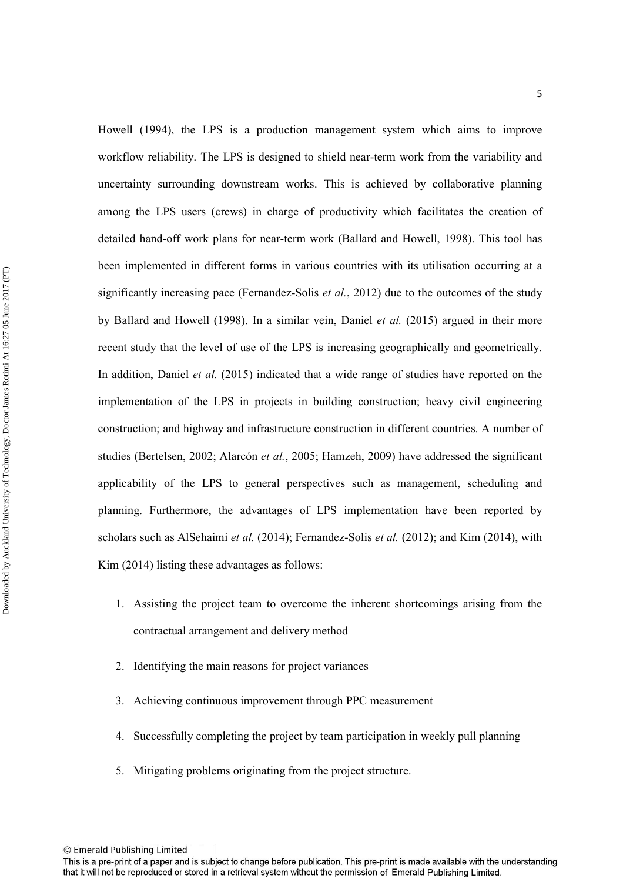Howell (1994), the LPS is a production management system which aims to improve workflow reliability. The LPS is designed to shield near-term work from the variability and uncertainty surrounding downstream works. This is achieved by collaborative planning among the LPS users (crews) in charge of productivity which facilitates the creation of detailed hand-off work plans for near-term work (Ballard and Howell, 1998). This tool has been implemented in different forms in various countries with its utilisation occurring at a significantly increasing pace (Fernandez-Solis *et al.*, 2012) due to the outcomes of the study by Ballard and Howell (1998). In a similar vein, Daniel *et al.* (2015) argued in their more recent study that the level of use of the LPS is increasing geographically and geometrically. In addition, Daniel *et al.* (2015) indicated that a wide range of studies have reported on the implementation of the LPS in projects in building construction; heavy civil engineering construction; and highway and infrastructure construction in different countries. A number of studies (Bertelsen, 2002; Alarcón *et al.*, 2005; Hamzeh, 2009) have addressed the significant applicability of the LPS to general perspectives such as management, scheduling and planning. Furthermore, the advantages of LPS implementation have been reported by scholars such as AlSehaimi *et al.* (2014); Fernandez-Solis *et al.* (2012); and Kim (2014), with Kim (2014) listing these advantages as follows:

- 1. Assisting the project team to overcome the inherent shortcomings arising from the contractual arrangement and delivery method
- 2. Identifying the main reasons for project variances
- 3. Achieving continuous improvement through PPC measurement
- 4. Successfully completing the project by team participation in weekly pull planning
- 5. Mitigating problems originating from the project structure.

This is a pre-print of a paper and is subject to change before publication. This pre-print is made available with the understanding that it will not be reproduced or stored in a retrieval system without the permission of Emerald Publishing Limited.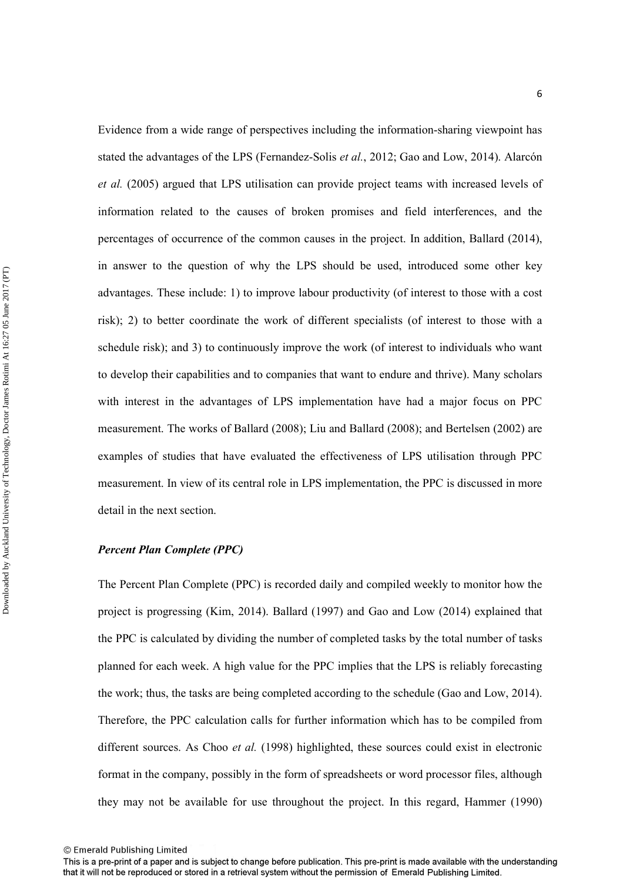Evidence from a wide range of perspectives including the information-sharing viewpoint has stated the advantages of the LPS (Fernandez-Solis *et al.*, 2012; Gao and Low, 2014). Alarcón *et al.* (2005) argued that LPS utilisation can provide project teams with increased levels of information related to the causes of broken promises and field interferences, and the percentages of occurrence of the common causes in the project. In addition, Ballard (2014), in answer to the question of why the LPS should be used, introduced some other key advantages. These include: 1) to improve labour productivity (of interest to those with a cost risk); 2) to better coordinate the work of different specialists (of interest to those with a schedule risk); and 3) to continuously improve the work (of interest to individuals who want to develop their capabilities and to companies that want to endure and thrive). Many scholars with interest in the advantages of LPS implementation have had a major focus on PPC measurement. The works of Ballard (2008); Liu and Ballard (2008); and Bertelsen (2002) are examples of studies that have evaluated the effectiveness of LPS utilisation through PPC measurement. In view of its central role in LPS implementation, the PPC is discussed in more detail in the next section.

# *Percent Plan Complete (PPC)*

The Percent Plan Complete (PPC) is recorded daily and compiled weekly to monitor how the project is progressing (Kim, 2014). Ballard (1997) and Gao and Low (2014) explained that the PPC is calculated by dividing the number of completed tasks by the total number of tasks planned for each week. A high value for the PPC implies that the LPS is reliably forecasting the work; thus, the tasks are being completed according to the schedule (Gao and Low, 2014). Therefore, the PPC calculation calls for further information which has to be compiled from different sources. As Choo *et al.* (1998) highlighted, these sources could exist in electronic format in the company, possibly in the form of spreadsheets or word processor files, although they may not be available for use throughout the project. In this regard, Hammer (1990)

<sup>©</sup> Emerald Publishing Limited

This is a pre-print of a paper and is subject to change before publication. This pre-print is made available with the understanding that it will not be reproduced or stored in a retrieval system without the permission of Emerald Publishing Limited.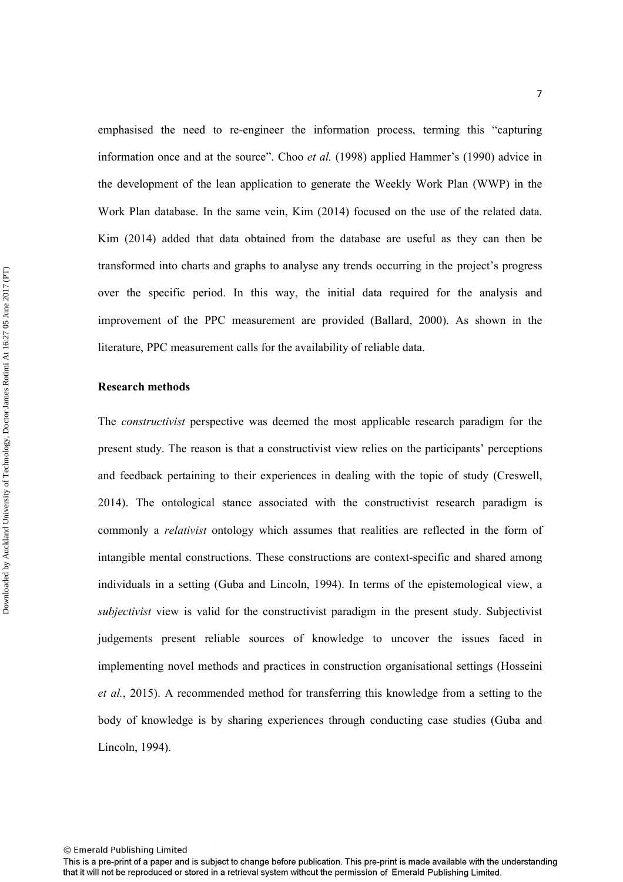emphasised the need to re-engineer the information process, terming this "capturing information once and at the source". Choo *et al.* (1998) applied Hammer's (1990) advice in the development of the lean application to generate the Weekly Work Plan (WWP) in the Work Plan database. In the same vein, Kim (2014) focused on the use of the related data. Kim (2014) added that data obtained from the database are useful as they can then be transformed into charts and graphs to analyse any trends occurring in the project's progress over the specific period. In this way, the initial data required for the analysis and improvement of the PPC measurement are provided (Ballard, 2000). As shown in the literature, PPC measurement calls for the availability of reliable data.

# **Research methods**

The *constructivist* perspective was deemed the most applicable research paradigm for the present study. The reason is that a constructivist view relies on the participants' perceptions and feedback pertaining to their experiences in dealing with the topic of study (Creswell, 2014). The ontological stance associated with the constructivist research paradigm is commonly a *relativist* ontology which assumes that realities are reflected in the form of intangible mental constructions. These constructions are context-specific and shared among individuals in a setting (Guba and Lincoln, 1994). In terms of the epistemological view, a *subjectivist* view is valid for the constructivist paradigm in the present study. Subjectivist judgements present reliable sources of knowledge to uncover the issues faced in implementing novel methods and practices in construction organisational settings (Hosseini *et al.*, 2015). A recommended method for transferring this knowledge from a setting to the body of knowledge is by sharing experiences through conducting case studies (Guba and Lincoln, 1994).

This is a pre-print of a paper and is subject to change before publication. This pre-print is made available with the understanding that it will not be reproduced or stored in a retrieval system without the permission of Emerald Publishing Limited.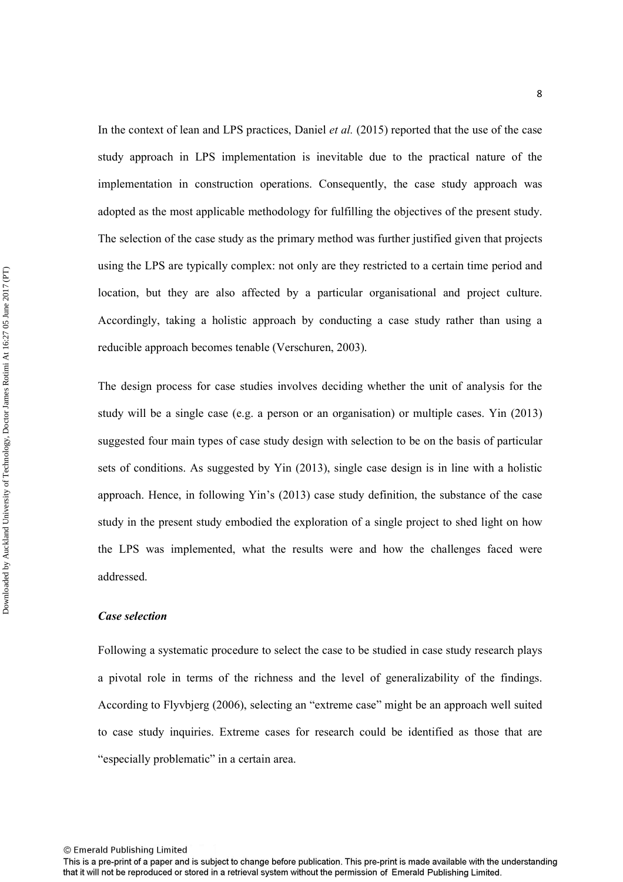In the context of lean and LPS practices, Daniel *et al.* (2015) reported that the use of the case study approach in LPS implementation is inevitable due to the practical nature of the implementation in construction operations. Consequently, the case study approach was adopted as the most applicable methodology for fulfilling the objectives of the present study. The selection of the case study as the primary method was further justified given that projects using the LPS are typically complex: not only are they restricted to a certain time period and location, but they are also affected by a particular organisational and project culture. Accordingly, taking a holistic approach by conducting a case study rather than using a reducible approach becomes tenable (Verschuren, 2003).

The design process for case studies involves deciding whether the unit of analysis for the study will be a single case (e.g. a person or an organisation) or multiple cases. Yin (2013) suggested four main types of case study design with selection to be on the basis of particular sets of conditions. As suggested by Yin (2013), single case design is in line with a holistic approach. Hence, in following Yin's (2013) case study definition, the substance of the case study in the present study embodied the exploration of a single project to shed light on how the LPS was implemented, what the results were and how the challenges faced were addressed.

# *Case selection*

Following a systematic procedure to select the case to be studied in case study research plays a pivotal role in terms of the richness and the level of generalizability of the findings. According to Flyvbjerg (2006), selecting an "extreme case" might be an approach well suited to case study inquiries. Extreme cases for research could be identified as those that are "especially problematic" in a certain area.

This is a pre-print of a paper and is subject to change before publication. This pre-print is made available with the understanding that it will not be reproduced or stored in a retrieval system without the permission of Emerald Publishing Limited.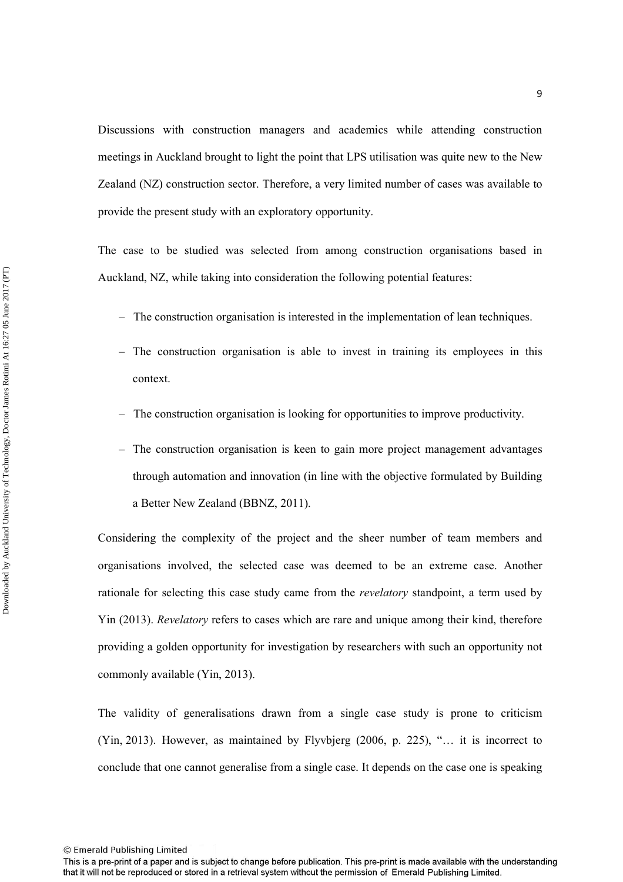Discussions with construction managers and academics while attending construction meetings in Auckland brought to light the point that LPS utilisation was quite new to the New Zealand (NZ) construction sector. Therefore, a very limited number of cases was available to provide the present study with an exploratory opportunity.

The case to be studied was selected from among construction organisations based in Auckland, NZ, while taking into consideration the following potential features:

- The construction organisation is interested in the implementation of lean techniques.
- The construction organisation is able to invest in training its employees in this context.
- The construction organisation is looking for opportunities to improve productivity.
- The construction organisation is keen to gain more project management advantages through automation and innovation (in line with the objective formulated by Building a Better New Zealand (BBNZ, 2011).

Considering the complexity of the project and the sheer number of team members and organisations involved, the selected case was deemed to be an extreme case. Another rationale for selecting this case study came from the *revelatory* standpoint, a term used by Yin (2013). *Revelatory* refers to cases which are rare and unique among their kind, therefore providing a golden opportunity for investigation by researchers with such an opportunity not commonly available (Yin, 2013).

The validity of generalisations drawn from a single case study is prone to criticism (Yin, 2013). However, as maintained by Flyvbjerg (2006, p. 225), "… it is incorrect to conclude that one cannot generalise from a single case. It depends on the case one is speaking

This is a pre-print of a paper and is subject to change before publication. This pre-print is made available with the understanding that it will not be reproduced or stored in a retrieval system without the permission of Emerald Publishing Limited.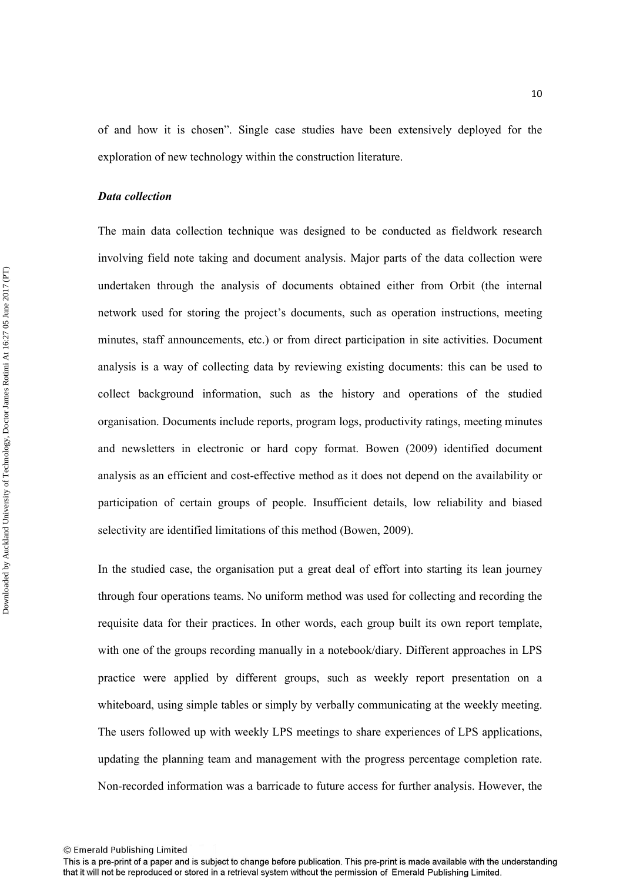of and how it is chosen". Single case studies have been extensively deployed for the exploration of new technology within the construction literature.

# *Data collection*

The main data collection technique was designed to be conducted as fieldwork research involving field note taking and document analysis. Major parts of the data collection were undertaken through the analysis of documents obtained either from Orbit (the internal network used for storing the project's documents, such as operation instructions, meeting minutes, staff announcements, etc.) or from direct participation in site activities. Document analysis is a way of collecting data by reviewing existing documents: this can be used to collect background information, such as the history and operations of the studied organisation. Documents include reports, program logs, productivity ratings, meeting minutes and newsletters in electronic or hard copy format. Bowen (2009) identified document analysis as an efficient and cost-effective method as it does not depend on the availability or participation of certain groups of people. Insufficient details, low reliability and biased selectivity are identified limitations of this method (Bowen, 2009).

In the studied case, the organisation put a great deal of effort into starting its lean journey through four operations teams. No uniform method was used for collecting and recording the requisite data for their practices. In other words, each group built its own report template, with one of the groups recording manually in a notebook/diary. Different approaches in LPS practice were applied by different groups, such as weekly report presentation on a whiteboard, using simple tables or simply by verbally communicating at the weekly meeting. The users followed up with weekly LPS meetings to share experiences of LPS applications, updating the planning team and management with the progress percentage completion rate. Non-recorded information was a barricade to future access for further analysis. However, the

<sup>©</sup> Emerald Publishing Limited

This is a pre-print of a paper and is subject to change before publication. This pre-print is made available with the understanding that it will not be reproduced or stored in a retrieval system without the permission of Emerald Publishing Limited.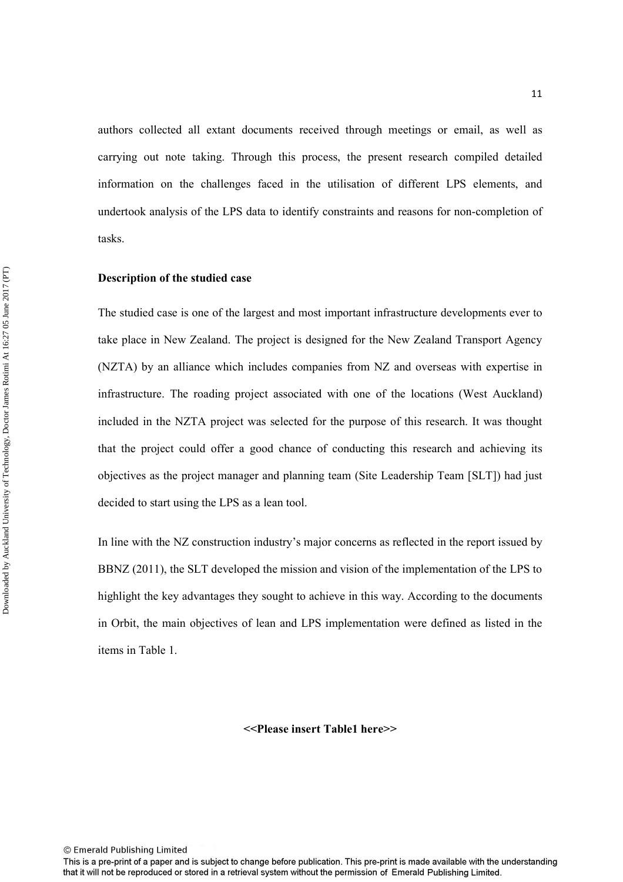authors collected all extant documents received through meetings or email, as well as carrying out note taking. Through this process, the present research compiled detailed information on the challenges faced in the utilisation of different LPS elements, and undertook analysis of the LPS data to identify constraints and reasons for non-completion of tasks.

# **Description of the studied case**

The studied case is one of the largest and most important infrastructure developments ever to take place in New Zealand. The project is designed for the New Zealand Transport Agency (NZTA) by an alliance which includes companies from NZ and overseas with expertise in infrastructure. The roading project associated with one of the locations (West Auckland) included in the NZTA project was selected for the purpose of this research. It was thought that the project could offer a good chance of conducting this research and achieving its objectives as the project manager and planning team (Site Leadership Team [SLT]) had just decided to start using the LPS as a lean tool.

In line with the NZ construction industry's major concerns as reflected in the report issued by BBNZ (2011), the SLT developed the mission and vision of the implementation of the LPS to highlight the key advantages they sought to achieve in this way. According to the documents in Orbit, the main objectives of lean and LPS implementation were defined as listed in the items in Table 1.

**<<Please insert Table1 here>>** 

This is a pre-print of a paper and is subject to change before publication. This pre-print is made available with the understanding that it will not be reproduced or stored in a retrieval system without the permission of Emerald Publishing Limited.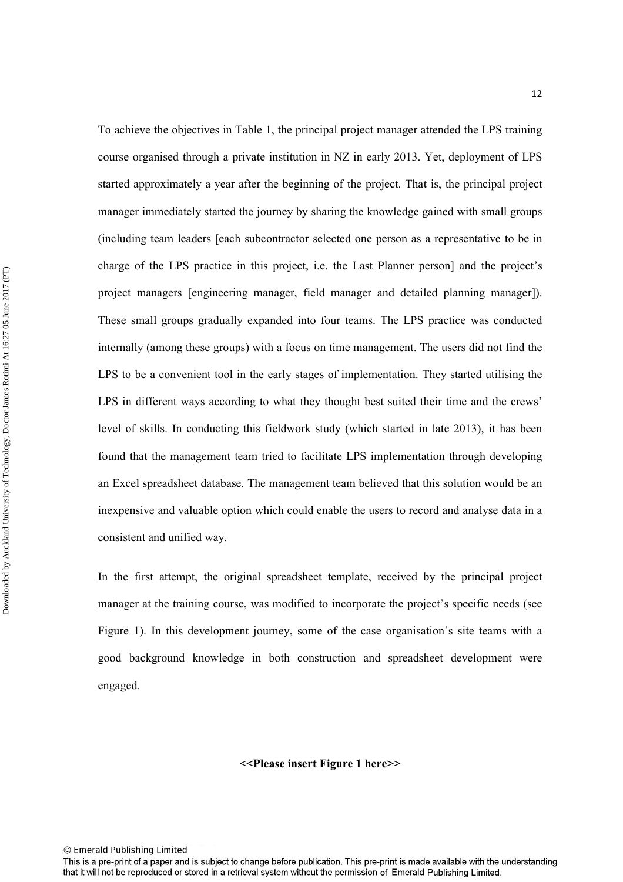To achieve the objectives in Table 1, the principal project manager attended the LPS training course organised through a private institution in NZ in early 2013. Yet, deployment of LPS started approximately a year after the beginning of the project. That is, the principal project manager immediately started the journey by sharing the knowledge gained with small groups (including team leaders [each subcontractor selected one person as a representative to be in charge of the LPS practice in this project, i.e. the Last Planner person] and the project's project managers [engineering manager, field manager and detailed planning manager]). These small groups gradually expanded into four teams. The LPS practice was conducted internally (among these groups) with a focus on time management. The users did not find the LPS to be a convenient tool in the early stages of implementation. They started utilising the LPS in different ways according to what they thought best suited their time and the crews' level of skills. In conducting this fieldwork study (which started in late 2013), it has been found that the management team tried to facilitate LPS implementation through developing an Excel spreadsheet database. The management team believed that this solution would be an inexpensive and valuable option which could enable the users to record and analyse data in a consistent and unified way.

In the first attempt, the original spreadsheet template, received by the principal project manager at the training course, was modified to incorporate the project's specific needs (see Figure 1). In this development journey, some of the case organisation's site teams with a good background knowledge in both construction and spreadsheet development were engaged.

#### **<<Please insert Figure 1 here>>**

This is a pre-print of a paper and is subject to change before publication. This pre-print is made available with the understanding that it will not be reproduced or stored in a retrieval system without the permission of Emerald Publishing Limited.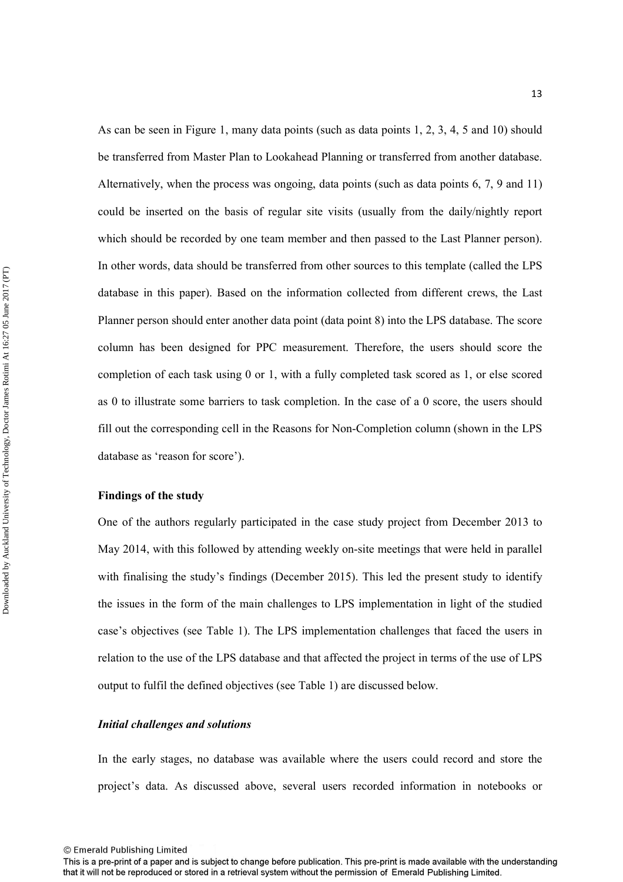As can be seen in Figure 1, many data points (such as data points 1, 2, 3, 4, 5 and 10) should be transferred from Master Plan to Lookahead Planning or transferred from another database. Alternatively, when the process was ongoing, data points (such as data points 6, 7, 9 and 11) could be inserted on the basis of regular site visits (usually from the daily/nightly report which should be recorded by one team member and then passed to the Last Planner person). In other words, data should be transferred from other sources to this template (called the LPS database in this paper). Based on the information collected from different crews, the Last Planner person should enter another data point (data point 8) into the LPS database. The score column has been designed for PPC measurement. Therefore, the users should score the completion of each task using 0 or 1, with a fully completed task scored as 1, or else scored as 0 to illustrate some barriers to task completion. In the case of a 0 score, the users should fill out the corresponding cell in the Reasons for Non-Completion column (shown in the LPS database as 'reason for score').

# **Findings of the study**

One of the authors regularly participated in the case study project from December 2013 to May 2014, with this followed by attending weekly on-site meetings that were held in parallel with finalising the study's findings (December 2015). This led the present study to identify the issues in the form of the main challenges to LPS implementation in light of the studied case's objectives (see Table 1). The LPS implementation challenges that faced the users in relation to the use of the LPS database and that affected the project in terms of the use of LPS output to fulfil the defined objectives (see Table 1) are discussed below.

#### *Initial challenges and solutions*

In the early stages, no database was available where the users could record and store the project's data. As discussed above, several users recorded information in notebooks or

This is a pre-print of a paper and is subject to change before publication. This pre-print is made available with the understanding that it will not be reproduced or stored in a retrieval system without the permission of Emerald Publishing Limited.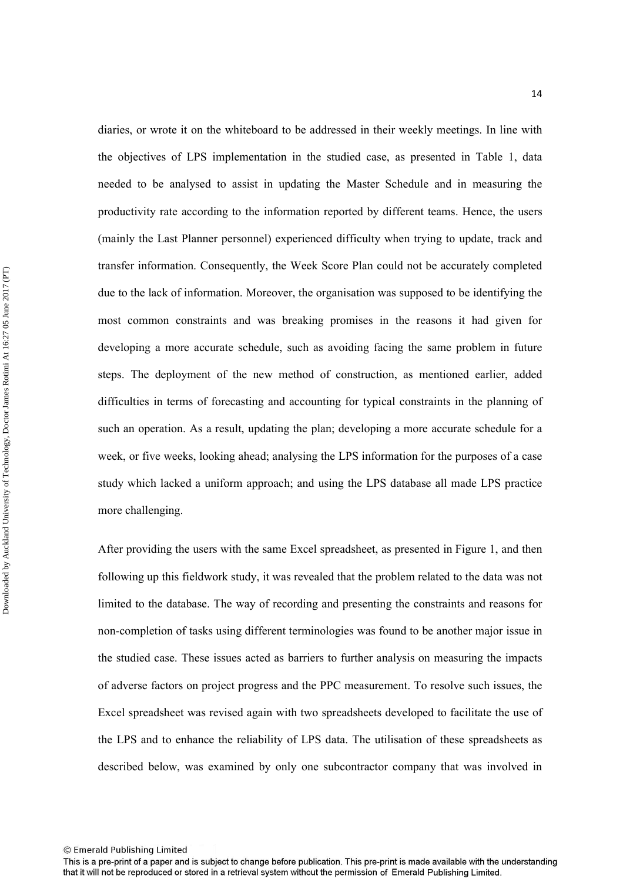diaries, or wrote it on the whiteboard to be addressed in their weekly meetings. In line with the objectives of LPS implementation in the studied case, as presented in Table 1, data needed to be analysed to assist in updating the Master Schedule and in measuring the productivity rate according to the information reported by different teams. Hence, the users (mainly the Last Planner personnel) experienced difficulty when trying to update, track and transfer information. Consequently, the Week Score Plan could not be accurately completed due to the lack of information. Moreover, the organisation was supposed to be identifying the most common constraints and was breaking promises in the reasons it had given for developing a more accurate schedule, such as avoiding facing the same problem in future steps. The deployment of the new method of construction, as mentioned earlier, added difficulties in terms of forecasting and accounting for typical constraints in the planning of such an operation. As a result, updating the plan; developing a more accurate schedule for a week, or five weeks, looking ahead; analysing the LPS information for the purposes of a case study which lacked a uniform approach; and using the LPS database all made LPS practice more challenging.

After providing the users with the same Excel spreadsheet, as presented in Figure 1, and then following up this fieldwork study, it was revealed that the problem related to the data was not limited to the database. The way of recording and presenting the constraints and reasons for non-completion of tasks using different terminologies was found to be another major issue in the studied case. These issues acted as barriers to further analysis on measuring the impacts of adverse factors on project progress and the PPC measurement. To resolve such issues, the Excel spreadsheet was revised again with two spreadsheets developed to facilitate the use of the LPS and to enhance the reliability of LPS data. The utilisation of these spreadsheets as described below, was examined by only one subcontractor company that was involved in

This is a pre-print of a paper and is subject to change before publication. This pre-print is made available with the understanding that it will not be reproduced or stored in a retrieval system without the permission of Emerald Publishing Limited.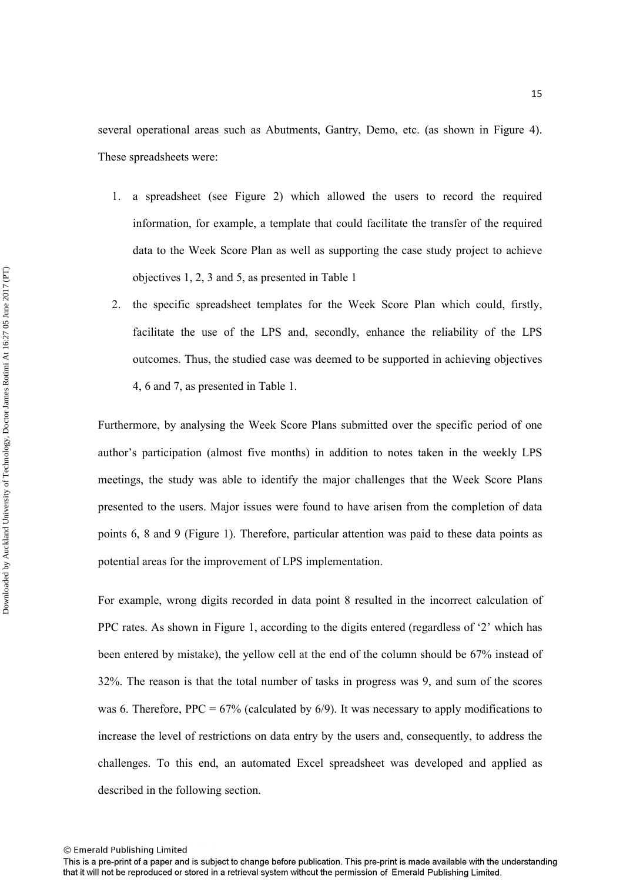several operational areas such as Abutments, Gantry, Demo, etc. (as shown in Figure 4). These spreadsheets were:

- 1. a spreadsheet (see Figure 2) which allowed the users to record the required information, for example, a template that could facilitate the transfer of the required data to the Week Score Plan as well as supporting the case study project to achieve objectives 1, 2, 3 and 5, as presented in Table 1
- 2. the specific spreadsheet templates for the Week Score Plan which could, firstly, facilitate the use of the LPS and, secondly, enhance the reliability of the LPS outcomes. Thus, the studied case was deemed to be supported in achieving objectives 4, 6 and 7, as presented in Table 1.

Furthermore, by analysing the Week Score Plans submitted over the specific period of one author's participation (almost five months) in addition to notes taken in the weekly LPS meetings, the study was able to identify the major challenges that the Week Score Plans presented to the users. Major issues were found to have arisen from the completion of data points 6, 8 and 9 (Figure 1). Therefore, particular attention was paid to these data points as potential areas for the improvement of LPS implementation.

For example, wrong digits recorded in data point 8 resulted in the incorrect calculation of PPC rates. As shown in Figure 1, according to the digits entered (regardless of '2' which has been entered by mistake), the yellow cell at the end of the column should be 67% instead of 32%. The reason is that the total number of tasks in progress was 9, and sum of the scores was 6. Therefore,  $PPC = 67\%$  (calculated by 6/9). It was necessary to apply modifications to increase the level of restrictions on data entry by the users and, consequently, to address the challenges. To this end, an automated Excel spreadsheet was developed and applied as described in the following section.

This is a pre-print of a paper and is subject to change before publication. This pre-print is made available with the understanding that it will not be reproduced or stored in a retrieval system without the permission of Emerald Publishing Limited.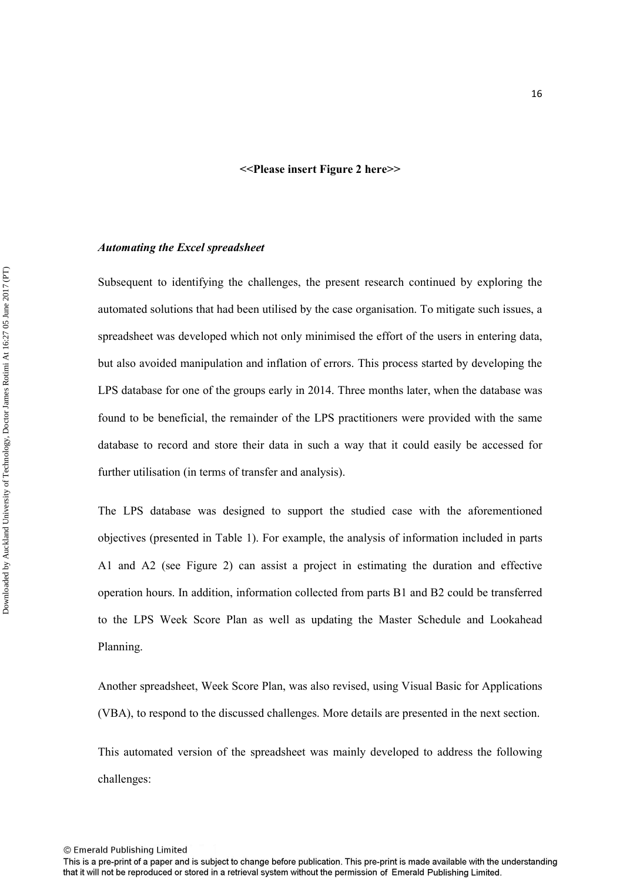## **<<Please insert Figure 2 here>>**

# *Automating the Excel spreadsheet*

Subsequent to identifying the challenges, the present research continued by exploring the automated solutions that had been utilised by the case organisation. To mitigate such issues, a spreadsheet was developed which not only minimised the effort of the users in entering data, but also avoided manipulation and inflation of errors. This process started by developing the LPS database for one of the groups early in 2014. Three months later, when the database was found to be beneficial, the remainder of the LPS practitioners were provided with the same database to record and store their data in such a way that it could easily be accessed for further utilisation (in terms of transfer and analysis).

The LPS database was designed to support the studied case with the aforementioned objectives (presented in Table 1). For example, the analysis of information included in parts A1 and A2 (see Figure 2) can assist a project in estimating the duration and effective operation hours. In addition, information collected from parts B1 and B2 could be transferred to the LPS Week Score Plan as well as updating the Master Schedule and Lookahead Planning.

Another spreadsheet, Week Score Plan, was also revised, using Visual Basic for Applications (VBA), to respond to the discussed challenges. More details are presented in the next section.

This automated version of the spreadsheet was mainly developed to address the following challenges:

<sup>©</sup> Emerald Publishing Limited

This is a pre-print of a paper and is subject to change before publication. This pre-print is made available with the understanding that it will not be reproduced or stored in a retrieval system without the permission of Emerald Publishing Limited.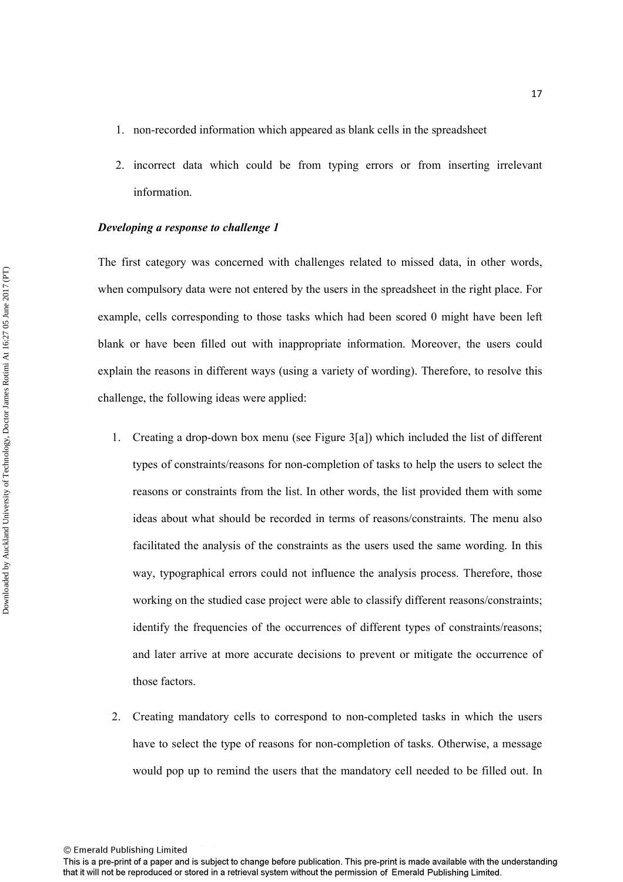- 1. non-recorded information which appeared as blank cells in the spreadsheet
- 2. incorrect data which could be from typing errors or from inserting irrelevant information.

# *Developing a response to challenge 1*

The first category was concerned with challenges related to missed data, in other words, when compulsory data were not entered by the users in the spreadsheet in the right place. For example, cells corresponding to those tasks which had been scored 0 might have been left blank or have been filled out with inappropriate information. Moreover, the users could explain the reasons in different ways (using a variety of wording). Therefore, to resolve this challenge, the following ideas were applied:

- 1. Creating a drop-down box menu (see Figure 3[a]) which included the list of different types of constraints/reasons for non-completion of tasks to help the users to select the reasons or constraints from the list. In other words, the list provided them with some ideas about what should be recorded in terms of reasons/constraints. The menu also facilitated the analysis of the constraints as the users used the same wording. In this way, typographical errors could not influence the analysis process. Therefore, those working on the studied case project were able to classify different reasons/constraints; identify the frequencies of the occurrences of different types of constraints/reasons; and later arrive at more accurate decisions to prevent or mitigate the occurrence of those factors.
- 2. Creating mandatory cells to correspond to non-completed tasks in which the users have to select the type of reasons for non-completion of tasks. Otherwise, a message would pop up to remind the users that the mandatory cell needed to be filled out. In

This is a pre-print of a paper and is subject to change before publication. This pre-print is made available with the understanding that it will not be reproduced or stored in a retrieval system without the permission of Emerald Publishing Limited.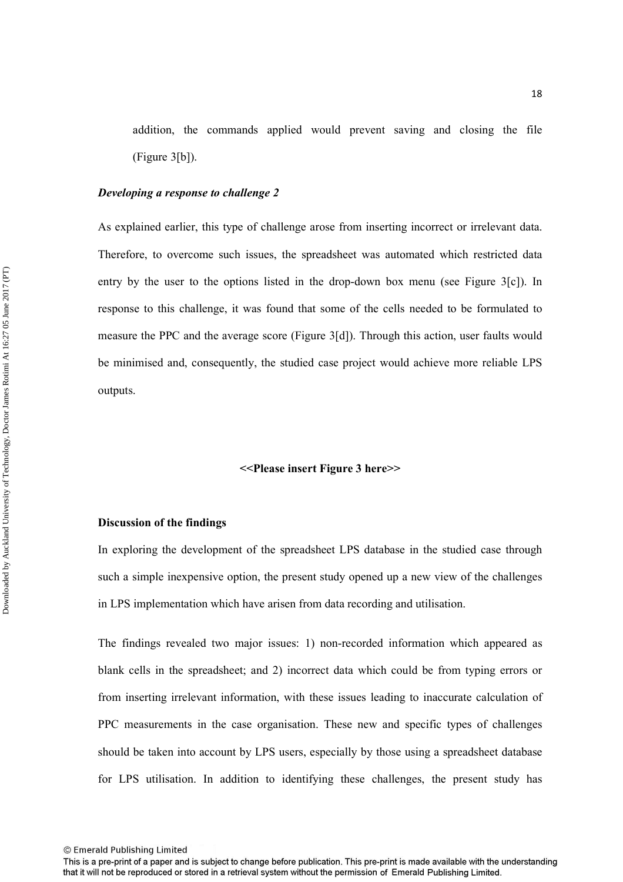addition, the commands applied would prevent saving and closing the file (Figure 3[b]).

# *Developing a response to challenge 2*

As explained earlier, this type of challenge arose from inserting incorrect or irrelevant data. Therefore, to overcome such issues, the spreadsheet was automated which restricted data entry by the user to the options listed in the drop-down box menu (see Figure 3[c]). In response to this challenge, it was found that some of the cells needed to be formulated to measure the PPC and the average score (Figure 3[d]). Through this action, user faults would be minimised and, consequently, the studied case project would achieve more reliable LPS outputs.

#### **<<Please insert Figure 3 here>>**

# **Discussion of the findings**

In exploring the development of the spreadsheet LPS database in the studied case through such a simple inexpensive option, the present study opened up a new view of the challenges in LPS implementation which have arisen from data recording and utilisation.

The findings revealed two major issues: 1) non-recorded information which appeared as blank cells in the spreadsheet; and 2) incorrect data which could be from typing errors or from inserting irrelevant information, with these issues leading to inaccurate calculation of PPC measurements in the case organisation. These new and specific types of challenges should be taken into account by LPS users, especially by those using a spreadsheet database for LPS utilisation. In addition to identifying these challenges, the present study has

This is a pre-print of a paper and is subject to change before publication. This pre-print is made available with the understanding that it will not be reproduced or stored in a retrieval system without the permission of Emerald Publishing Limited.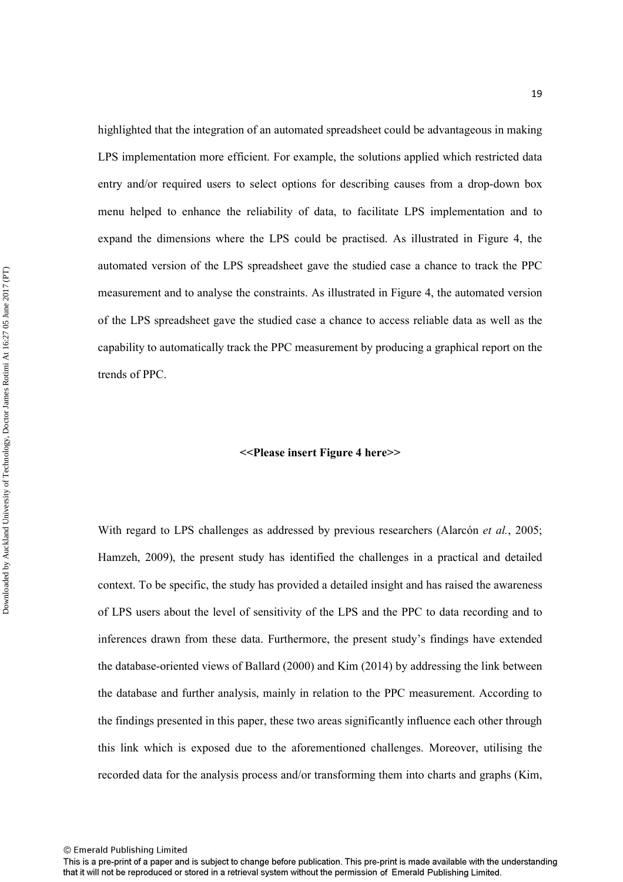highlighted that the integration of an automated spreadsheet could be advantageous in making LPS implementation more efficient. For example, the solutions applied which restricted data entry and/or required users to select options for describing causes from a drop-down box menu helped to enhance the reliability of data, to facilitate LPS implementation and to expand the dimensions where the LPS could be practised. As illustrated in Figure 4, the automated version of the LPS spreadsheet gave the studied case a chance to track the PPC measurement and to analyse the constraints. As illustrated in Figure 4, the automated version of the LPS spreadsheet gave the studied case a chance to access reliable data as well as the capability to automatically track the PPC measurement by producing a graphical report on the trends of PPC.

# **<<Please insert Figure 4 here>>**

With regard to LPS challenges as addressed by previous researchers (Alarcón *et al.*, 2005; Hamzeh, 2009), the present study has identified the challenges in a practical and detailed context. To be specific, the study has provided a detailed insight and has raised the awareness of LPS users about the level of sensitivity of the LPS and the PPC to data recording and to inferences drawn from these data. Furthermore, the present study's findings have extended the database-oriented views of Ballard (2000) and Kim (2014) by addressing the link between the database and further analysis, mainly in relation to the PPC measurement. According to the findings presented in this paper, these two areas significantly influence each other through this link which is exposed due to the aforementioned challenges. Moreover, utilising the recorded data for the analysis process and/or transforming them into charts and graphs (Kim,

<sup>©</sup> Emerald Publishing Limited

This is a pre-print of a paper and is subject to change before publication. This pre-print is made available with the understanding that it will not be reproduced or stored in a retrieval system without the permission of Emerald Publishing Limited.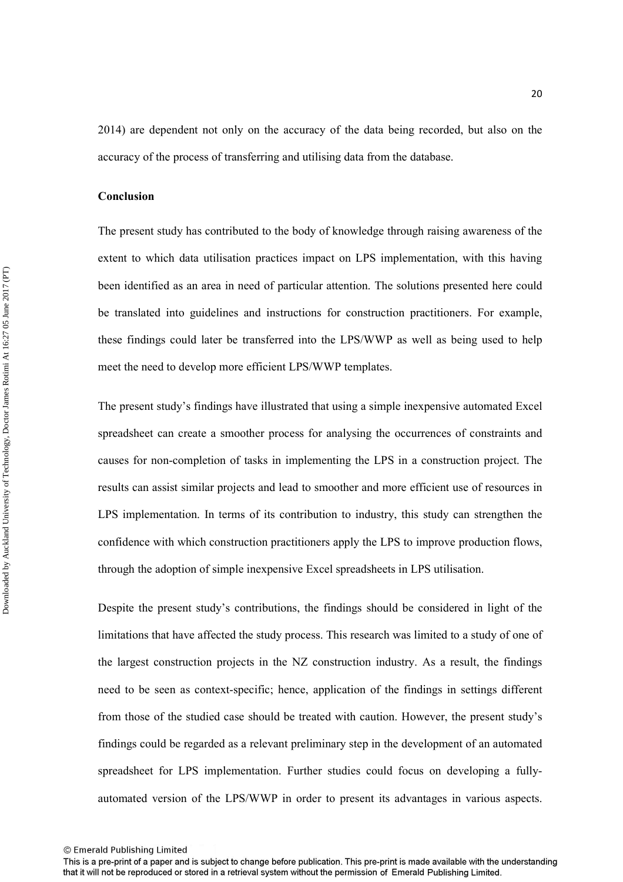2014) are dependent not only on the accuracy of the data being recorded, but also on the accuracy of the process of transferring and utilising data from the database.

## **Conclusion**

The present study has contributed to the body of knowledge through raising awareness of the extent to which data utilisation practices impact on LPS implementation, with this having been identified as an area in need of particular attention. The solutions presented here could be translated into guidelines and instructions for construction practitioners. For example, these findings could later be transferred into the LPS/WWP as well as being used to help meet the need to develop more efficient LPS/WWP templates.

The present study's findings have illustrated that using a simple inexpensive automated Excel spreadsheet can create a smoother process for analysing the occurrences of constraints and causes for non-completion of tasks in implementing the LPS in a construction project. The results can assist similar projects and lead to smoother and more efficient use of resources in LPS implementation. In terms of its contribution to industry, this study can strengthen the confidence with which construction practitioners apply the LPS to improve production flows, through the adoption of simple inexpensive Excel spreadsheets in LPS utilisation.

Despite the present study's contributions, the findings should be considered in light of the limitations that have affected the study process. This research was limited to a study of one of the largest construction projects in the NZ construction industry. As a result, the findings need to be seen as context-specific; hence, application of the findings in settings different from those of the studied case should be treated with caution. However, the present study's findings could be regarded as a relevant preliminary step in the development of an automated spreadsheet for LPS implementation. Further studies could focus on developing a fullyautomated version of the LPS/WWP in order to present its advantages in various aspects.

<sup>©</sup> Emerald Publishing Limited

This is a pre-print of a paper and is subject to change before publication. This pre-print is made available with the understanding that it will not be reproduced or stored in a retrieval system without the permission of Emerald Publishing Limited.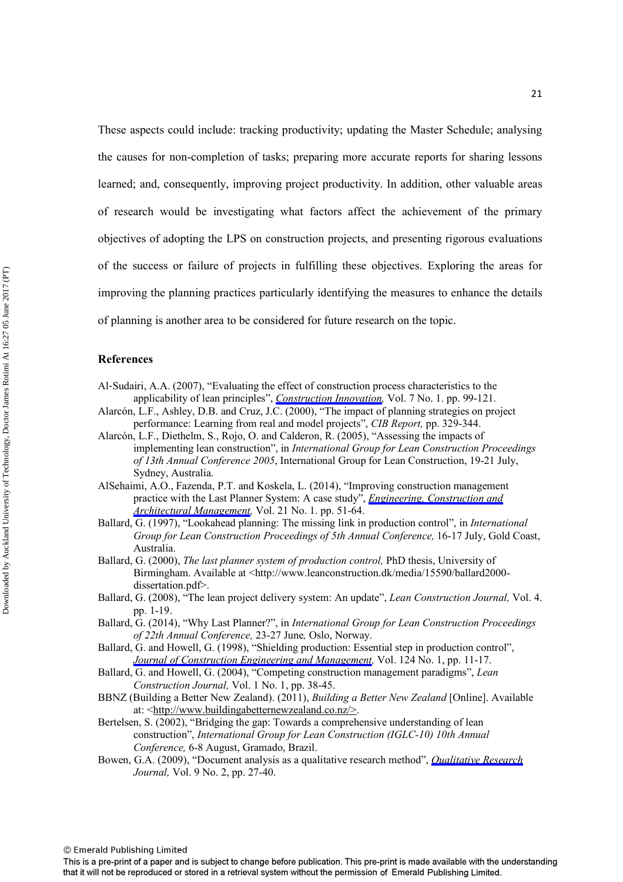These aspects could include: tracking productivity; updating the Master Schedule; analysing the causes for non-completion of tasks; preparing more accurate reports for sharing lessons learned; and, consequently, improving project productivity. In addition, other valuable areas of research would be investigating what factors affect the achievement of the primary objectives of adopting the LPS on construction projects, and presenting rigorous evaluations of the success or failure of projects in fulfilling these objectives. Exploring the areas for improving the planning practices particularly identifying the measures to enhance the details of planning is another area to be considered for future research on the topic.

# **References**

- Al‐Sudairi, A.A. (2007), "Evaluating the effect of construction process characteristics to the applicability of lean principles", *[Construction Innovation,](http://www.emeraldinsight.com/action/showLinks?system=10.1108%2F14714170710721322)* Vol. 7 No. 1. pp. 99-121.
- Alarcón, L.F., Ashley, D.B. and Cruz, J.C. (2000), "The impact of planning strategies on project performance: Learning from real and model projects", *CIB Report,* pp. 329-344.
- Alarcón, L.F., Diethelm, S., Rojo, O. and Calderon, R. (2005), "Assessing the impacts of implementing lean construction", in *International Group for Lean Construction Proceedings of 13th Annual Conference 2005*, International Group for Lean Construction, 19-21 July, Sydney, Australia.
- AlSehaimi, A.O., Fazenda, P.T. and Koskela, L. (2014), "Improving construction management practice with the Last Planner System: A case study", *[Engineering, Construction and](http://www.emeraldinsight.com/action/showLinks?system=10.1108%2FECAM-03-2012-0032) [Architectural Management](http://www.emeraldinsight.com/action/showLinks?system=10.1108%2FECAM-03-2012-0032),* Vol. 21 No. 1. pp. 51-64.
- Ballard, G. (1997), "Lookahead planning: The missing link in production control", in *International Group for Lean Construction Proceedings of 5th Annual Conference,* 16-17 July, Gold Coast, Australia.
- Ballard, G. (2000), *The last planner system of production control,* PhD thesis, University of Birmingham. Available at <http://www.leanconstruction.dk/media/15590/ballard2000 dissertation.pdf>.
- Ballard, G. (2008), "The lean project delivery system: An update", *Lean Construction Journal,* Vol. 4. pp. 1-19.
- Ballard, G. (2014), "Why Last Planner?", in *International Group for Lean Construction Proceedings of 22th Annual Conference,* 23-27 June*,* Oslo, Norway.
- Ballard, G. and Howell, G. (1998), "Shielding production: Essential step in production control", *[Journal of Construction Engineering and Management](http://www.emeraldinsight.com/action/showLinks?crossref=10.1061%2F%28ASCE%290733-9364%281998%29124%3A1%2811%29),* Vol. 124 No. 1, pp. 11-17.

Ballard, G. and Howell, G. (2004), "Competing construction management paradigms", *Lean Construction Journal,* Vol. 1 No. 1, pp. 38-45.

- BBNZ (Building a Better New Zealand). (2011), *Building a Better New Zealand* [Online]. Available at: <http://www.buildingabetternewzealand.co.nz/>.
- Bertelsen, S. (2002), "Bridging the gap: Towards a comprehensive understanding of lean construction", *International Group for Lean Construction (IGLC-10) 10th Annual Conference,* 6-8 August, Gramado, Brazil.
- Bowen, G.A. (2009), "Document analysis as a qualitative research method", *[Qualitative Research](http://www.emeraldinsight.com/action/showLinks?system=10.3316%2FQRJ0902027)  Journal,* Vol. 9 No. 2, pp. 27-40.

This is a pre-print of a paper and is subject to change before publication. This pre-print is made available with the understanding that it will not be reproduced or stored in a retrieval system without the permission of Emerald Publishing Limited.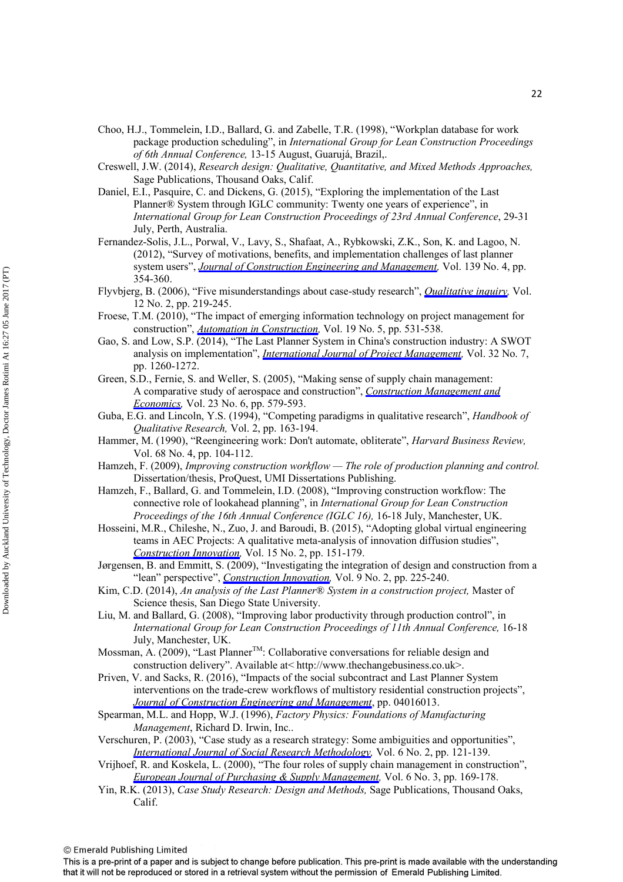- Choo, H.J., Tommelein, I.D., Ballard, G. and Zabelle, T.R. (1998), "Workplan database for work package production scheduling", in *International Group for Lean Construction Proceedings of 6th Annual Conference,* 13-15 August, Guarujá, Brazil,.
- Creswell, J.W. (2014), *Research design: Qualitative, Quantitative, and Mixed Methods Approaches,*  Sage Publications, Thousand Oaks, Calif.
- Daniel, E.I., Pasquire, C. and Dickens, G. (2015), "Exploring the implementation of the Last Planner® System through IGLC community: Twenty one years of experience", in *International Group for Lean Construction Proceedings of 23rd Annual Conference*, 29-31 July, Perth, Australia.
- Fernandez-Solis, J.L., Porwal, V., Lavy, S., Shafaat, A., Rybkowski, Z.K., Son, K. and Lagoo, N. (2012), "Survey of motivations, benefits, and implementation challenges of last planner system users", *[Journal of Construction Engineering and Management](http://www.emeraldinsight.com/action/showLinks?crossref=10.1061%2F%28ASCE%29CO.1943-7862.0000606),* Vol. 139 No. 4, pp. 354-360.
- Flyvbjerg, B. (2006), "Five misunderstandings about case-study research", *[Qualitative inquiry,](http://www.emeraldinsight.com/action/showLinks?crossref=10.1177%2F1077800405284363)* Vol. 12 No. 2, pp. 219-245.
- Froese, T.M. (2010), "The impact of emerging information technology on project management for construction", *[Automation in Construction,](http://www.emeraldinsight.com/action/showLinks?crossref=10.1016%2Fj.autcon.2009.11.004)* Vol. 19 No. 5, pp. 531-538.
- Gao, S. and Low, S.P. (2014), "The Last Planner System in China's construction industry: A SWOT analysis on implementation", *[International Journal of Project Management](http://www.emeraldinsight.com/action/showLinks?crossref=10.1016%2Fj.ijproman.2014.01.002),* Vol. 32 No. 7, pp. 1260-1272.
- Green, S.D., Fernie, S. and Weller, S. (2005), "Making sense of supply chain management: A comparative study of aerospace and construction", *[Construction Management and](http://www.emeraldinsight.com/action/showLinks?crossref=10.1080%2F01446190500126882)  [Economics,](http://www.emeraldinsight.com/action/showLinks?crossref=10.1080%2F01446190500126882)* Vol. 23 No. 6, pp. 579-593.
- Guba, E.G. and Lincoln, Y.S. (1994), "Competing paradigms in qualitative research", *Handbook of Qualitative Research,* Vol. 2, pp. 163-194.
- Hammer, M. (1990), "Reengineering work: Don't automate, obliterate", *Harvard Business Review,* Vol. 68 No. 4, pp. 104-112.
- Hamzeh, F. (2009), *Improving construction workflow The role of production planning and control.* Dissertation/thesis, ProQuest, UMI Dissertations Publishing.
- Hamzeh, F., Ballard, G. and Tommelein, I.D. (2008), "Improving construction workflow: The connective role of lookahead planning", in *International Group for Lean Construction Proceedings of the 16th Annual Conference (IGLC 16),* 16-18 July, Manchester, UK.
- Hosseini, M.R., Chileshe, N., Zuo, J. and Baroudi, B. (2015), "Adopting global virtual engineering teams in AEC Projects: A qualitative meta-analysis of innovation diffusion studies", *[Construction Innovation,](http://www.emeraldinsight.com/action/showLinks?system=10.1108%2FCI-12-2013-0058)* Vol. 15 No. 2, pp. 151-179.
- Jørgensen, B. and Emmitt, S. (2009), "Investigating the integration of design and construction from a "lean" perspective", *[Construction Innovation,](http://www.emeraldinsight.com/action/showLinks?system=10.1108%2F14714170910950849)* Vol. 9 No. 2, pp. 225-240.
- Kim, C.D. (2014), *An analysis of the Last Planner® System in a construction project,* Master of Science thesis, San Diego State University.
- Liu, M. and Ballard, G. (2008), "Improving labor productivity through production control", in *International Group for Lean Construction Proceedings of 11th Annual Conference,* 16-18 July, Manchester, UK.
- Mossman, A. (2009), "Last Planner<sup>TM</sup>: Collaborative conversations for reliable design and construction delivery". Available at< http://www.thechangebusiness.co.uk>.
- Priven, V. and Sacks, R. (2016), "Impacts of the social subcontract and Last Planner System interventions on the trade-crew workflows of multistory residential construction projects", *[Journal of Construction Engineering and Management](http://www.emeraldinsight.com/action/showLinks?crossref=10.1061%2F%28ASCE%29CO.1943-7862.0001102)*, pp. 04016013.
- Spearman, M.L. and Hopp, W.J. (1996), *Factory Physics: Foundations of Manufacturing Management*, Richard D. Irwin, Inc..
- Verschuren, P. (2003), "Case study as a research strategy: Some ambiguities and opportunities", *[International Journal of Social Research Methodology,](http://www.emeraldinsight.com/action/showLinks?crossref=10.1080%2F13645570110106154)* Vol. 6 No. 2, pp. 121-139.
- Vrijhoef, R. and Koskela, L. (2000), "The four roles of supply chain management in construction", *[European Journal of Purchasing & Supply Management,](http://www.emeraldinsight.com/action/showLinks?crossref=10.1016%2FS0969-7012%2800%2900013-7)* Vol. 6 No. 3, pp. 169-178.
- Yin, R.K. (2013), *Case Study Research: Design and Methods,* Sage Publications, Thousand Oaks, Calif.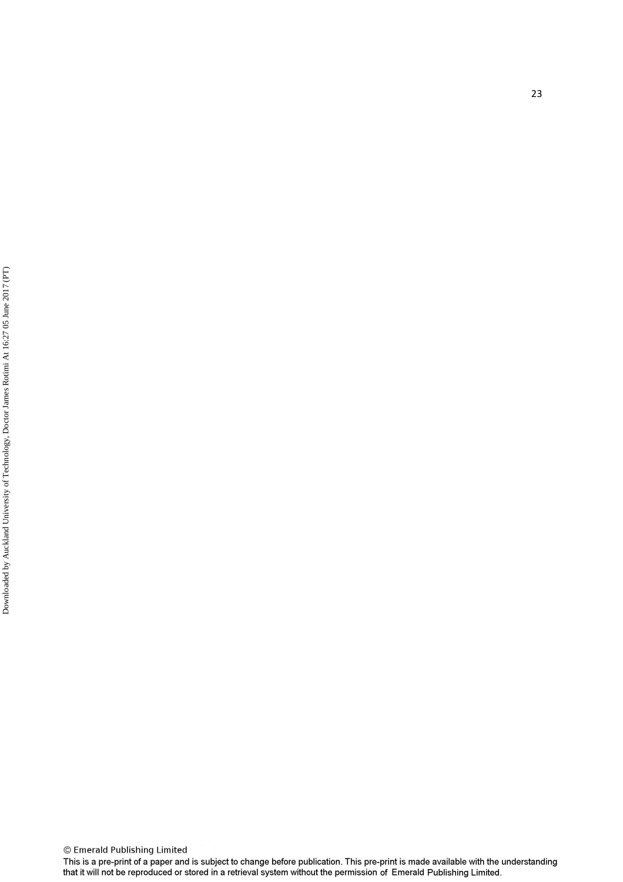This is a pre-print of a paper and is subject to change before publication. This pre-print is made available with the understanding<br>that it will not be reproduced or stored in a retrieval system without the permission of E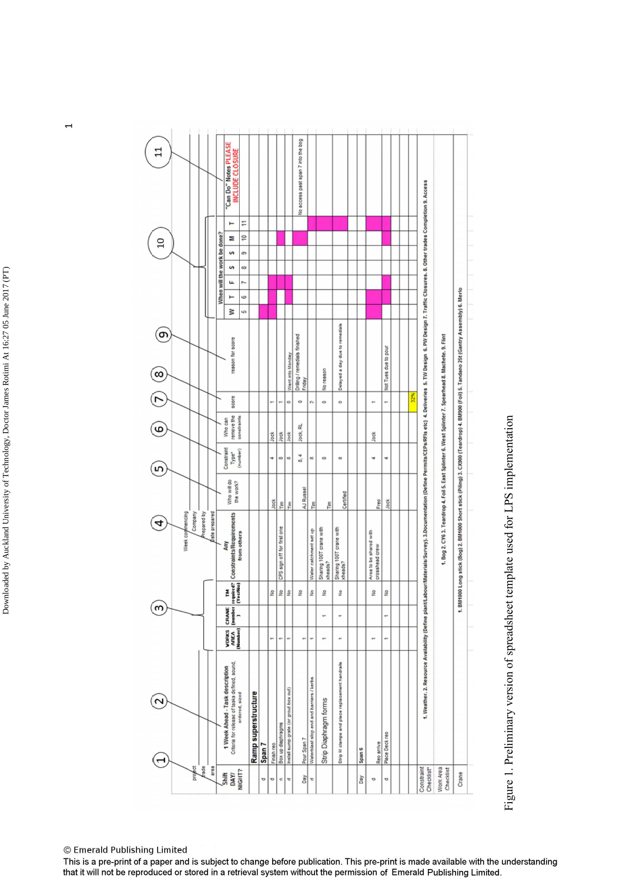



© Emerald Publishing Limited

This is a pre-print of a paper and is subject to change before publication. This pre-print is made available with the understanding that it will not be reproduced or stored in a retrieval system without the permission of Emerald Publishing Limited.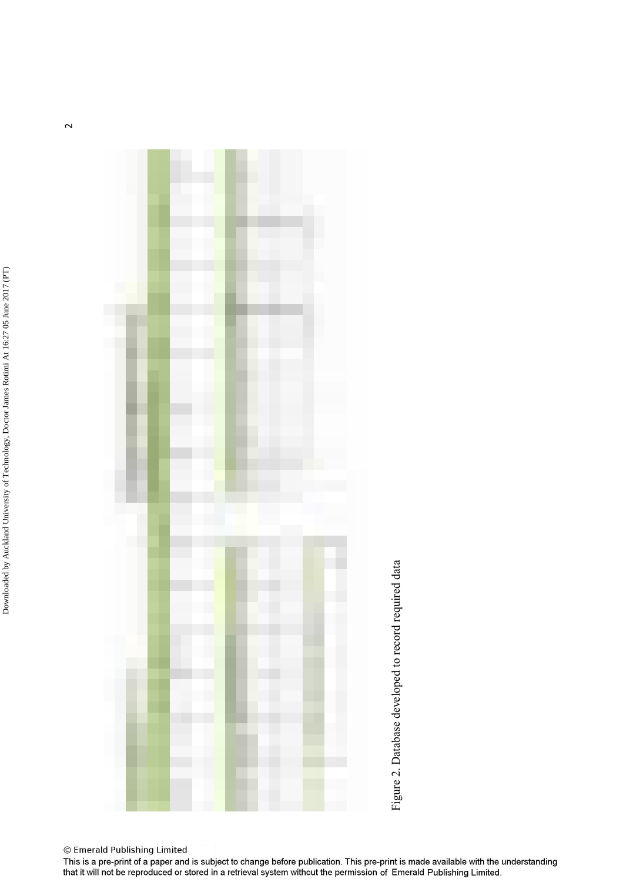Figure 2. Database developed to record required data Figure 2. Database developed to record required data

© Emerald Publishing Limited

This is a pre-print of a paper and is subject to change before publication. This pre-print is made available with the understanding<br>that it will not be reproduced or stored in a retrieval system without the permission of E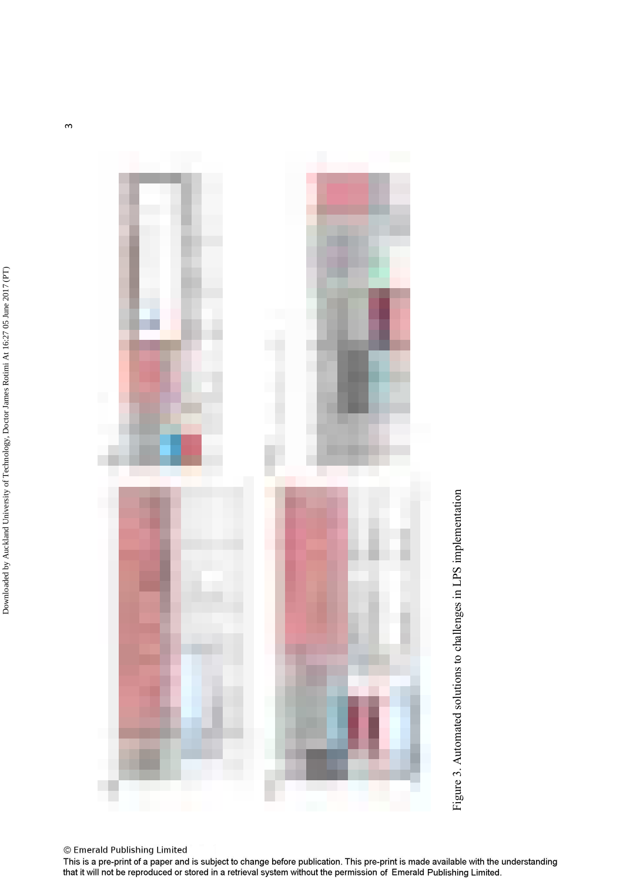

Figure 3. Automated solutions to challenges in LPS implementation Figure 3. Automated solutions to challenges in LPS implementation

© Emerald Publishing Limited

This is a pre-print of a paper and is subject to change before publication. This pre-print is made available with the understanding<br>that it will not be reproduced or stored in a retrieval system without the permission of E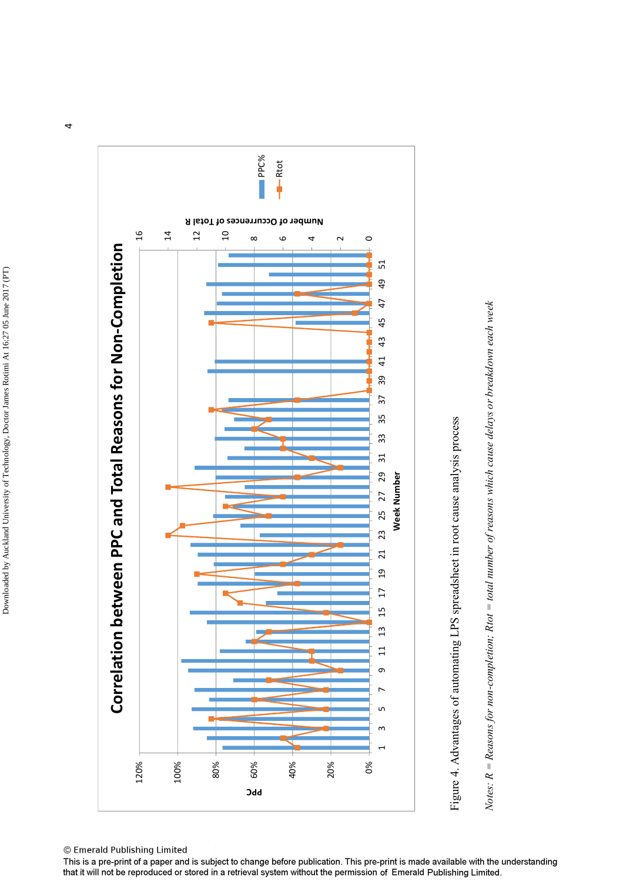PPC% -**Rtot Number of Occurrences of Total R**  $\frac{9}{2}$  $\overline{4}$ 12 10  $\infty$ 64 $\sim$  $\circ$ **Correlation between PPC and Total Reasons for Non-Completion**  Correlation between PPC and Total Reasons for Non-Completion  $\overline{51}$ 1 3 5 7 9 11 13 15 17 19 21 23 25 27 29 31 33 35 37 39 41 43 45 47 49 51 49  $\overline{47}$  $45$  $43$  $41$ 39 37  $35$ 33  $31$ 29 Week Number **Week Number** 27 25 23  $\overline{21}$  $\overline{a}$  $\overline{1}$  $15$  $\frac{1}{3}$  $\overline{1}$  $\sigma$  $\overline{a}$ ഥ  $\omega$ 20% 120% 80% 60% 40% 0% 100% **PPC**

Figure 4. Advantages of automating LPS spreadsheet in root cause analysis process Figure 4. Advantages of automating LPS spreadsheet in root cause analysis process

*Notes: R = Reasons for non-completion; Rtot = total number of reasons which cause delays or breakdown each week*  Notes:  $R = Reasons$  for non-completion;  $Rot = total$  number of reasons which cause delays or breakdown each week

4

Downloaded by Auckland University of Technology, Doctor James Rotimi At 16:27 05 June 2017 (PT) Downloaded by Auckland University of Technology, Doctor James Rotimi At 16:27 05 June 2017 (PT)

© Emerald Publishing Limited

This is a pre-print of a paper and is subject to change before publication. This pre-print is made available with the understanding that it will not be reproduced or stored in a retrieval system without the permission of Emerald Publishing Limited.